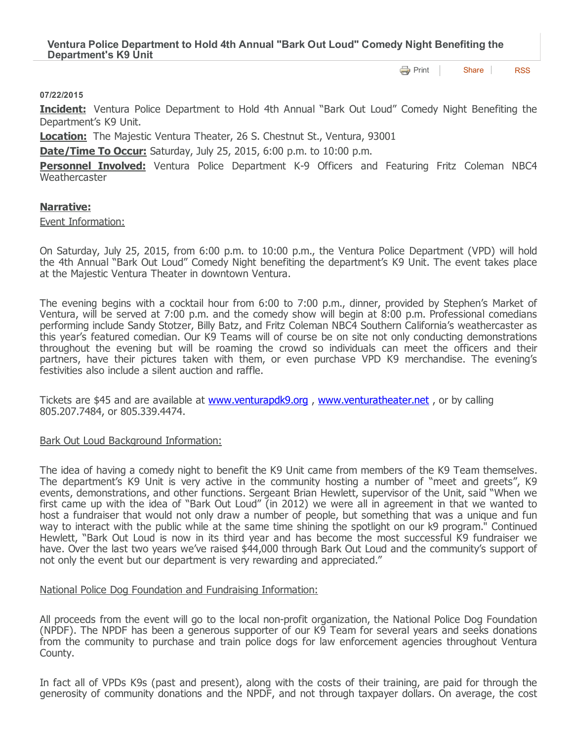**[Print](http://www.cityofventura.net/print/16954)** [Share](javascript:void(0)) [RSS](http://www.cityofventura.net/feed/press_release/rss.xml)

#### 07/22/2015

**Incident:** Ventura Police Department to Hold 4th Annual "Bark Out Loud" Comedy Night Benefiting the Department's K9 Unit.

Location: The Majestic Ventura Theater, 26 S. Chestnut St., Ventura, 93001

# Date/Time To Occur: Saturday, July 25, 2015, 6:00 p.m. to 10:00 p.m.

Personnel Involved: Ventura Police Department K-9 Officers and Featuring Fritz Coleman NBC4 **Weathercaster** 

## Narrative:

Event Information:

On Saturday, July 25, 2015, from 6:00 p.m. to 10:00 p.m., the Ventura Police Department (VPD) will hold the 4th Annual "Bark Out Loud" Comedy Night benefiting the department's K9 Unit. The event takes place at the Majestic Ventura Theater in downtown Ventura.

The evening begins with a cocktail hour from 6:00 to 7:00 p.m., dinner, provided by Stephen's Market of Ventura, will be served at 7:00 p.m. and the comedy show will begin at 8:00 p.m. Professional comedians performing include Sandy Stotzer, Billy Batz, and Fritz Coleman NBC4 Southern California's weathercaster as this year's featured comedian. Our K9 Teams will of course be on site not only conducting demonstrations throughout the evening but will be roaming the crowd so individuals can meet the officers and their partners, have their pictures taken with them, or even purchase VPD K9 merchandise. The evening's festivities also include a silent auction and raffle.

Tickets are \$45 and are available at **[www.venturapdk9.org](http://www.venturapdk9.org/)**, [www.venturatheater.net](http://www.venturatheater.net/), or by calling 805.207.7484, or 805.339.4474.

## Bark Out Loud Background Information:

The idea of having a comedy night to benefit the K9 Unit came from members of the K9 Team themselves. The department's K9 Unit is very active in the community hosting a number of "meet and greets", K9 events, demonstrations, and other functions. Sergeant Brian Hewlett, supervisor of the Unit, said "When we first came up with the idea of "Bark Out Loud" (in 2012) we were all in agreement in that we wanted to host a fundraiser that would not only draw a number of people, but something that was a unique and fun way to interact with the public while at the same time shining the spotlight on our k9 program." Continued Hewlett, "Bark Out Loud is now in its third year and has become the most successful K9 fundraiser we have. Over the last two years we've raised \$44,000 through Bark Out Loud and the community's support of not only the event but our department is very rewarding and appreciated."

## National Police Dog Foundation and Fundraising Information:

All proceeds from the event will go to the local non-profit organization, the National Police Dog Foundation (NPDF). The NPDF has been a generous supporter of our K9 Team for several years and seeks donations from the community to purchase and train police dogs for law enforcement agencies throughout Ventura County.

In fact all of VPDs K9s (past and present), along with the costs of their training, are paid for through the generosity of community donations and the NPDF, and not through taxpayer dollars. On average, the cost